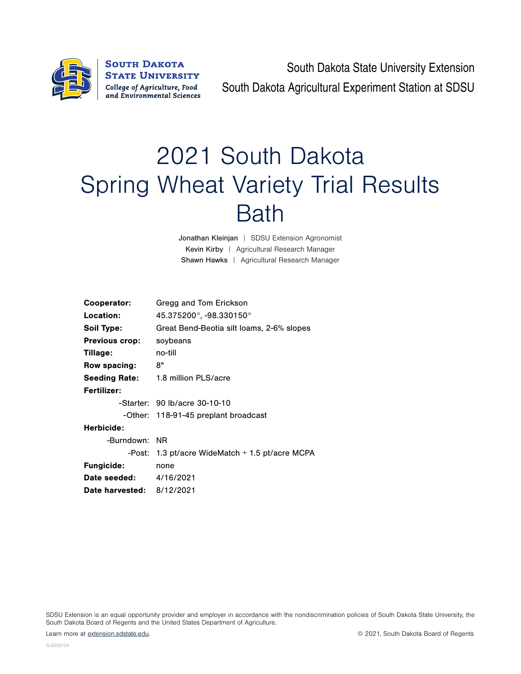

**SOUTH DAKOTA STATE UNIVERSITY** College of Agriculture, Food and Environmental Sciences

South Dakota State University Extension South Dakota Agricultural Experiment Station at SDSU

## 2021 South Dakota Spring Wheat Variety Trial Results Bath

Jonathan Kleinjan | SDSU Extension Agronomist Kevin Kirby | Agricultural Research Manager Shawn Hawks | Agricultural Research Manager

| Cooperator:                      | Gregg and Tom Erickson                            |  |  |  |  |  |
|----------------------------------|---------------------------------------------------|--|--|--|--|--|
| Location:                        | $45.375200^{\circ}$ , -98.330150 $^{\circ}$       |  |  |  |  |  |
| Soil Type:                       | Great Bend-Beotia silt Ioams, 2-6% slopes         |  |  |  |  |  |
| <b>Previous crop:</b>            | soybeans                                          |  |  |  |  |  |
| Tillage:                         | no-till                                           |  |  |  |  |  |
| Row spacing:                     | 8"                                                |  |  |  |  |  |
| <b>Seeding Rate:</b>             | 1.8 million PLS/acre                              |  |  |  |  |  |
| Fertilizer:                      |                                                   |  |  |  |  |  |
|                                  | -Starter: 90 lb/acre 30-10-10                     |  |  |  |  |  |
|                                  | -Other: 118-91-45 preplant broadcast              |  |  |  |  |  |
| Herbicide:                       |                                                   |  |  |  |  |  |
| -Burndown: NR                    |                                                   |  |  |  |  |  |
|                                  | -Post: 1.3 pt/acre WideMatch $+$ 1.5 pt/acre MCPA |  |  |  |  |  |
| <b>Fungicide:</b>                | none                                              |  |  |  |  |  |
| <b>Date seeded:</b> 4/16/2021    |                                                   |  |  |  |  |  |
| <b>Date harvested: 8/12/2021</b> |                                                   |  |  |  |  |  |

SDSU Extension is an equal opportunity provider and employer in accordance with the nondiscrimination policies of South Dakota State University, the South Dakota Board of Regents and the United States Department of Agriculture.